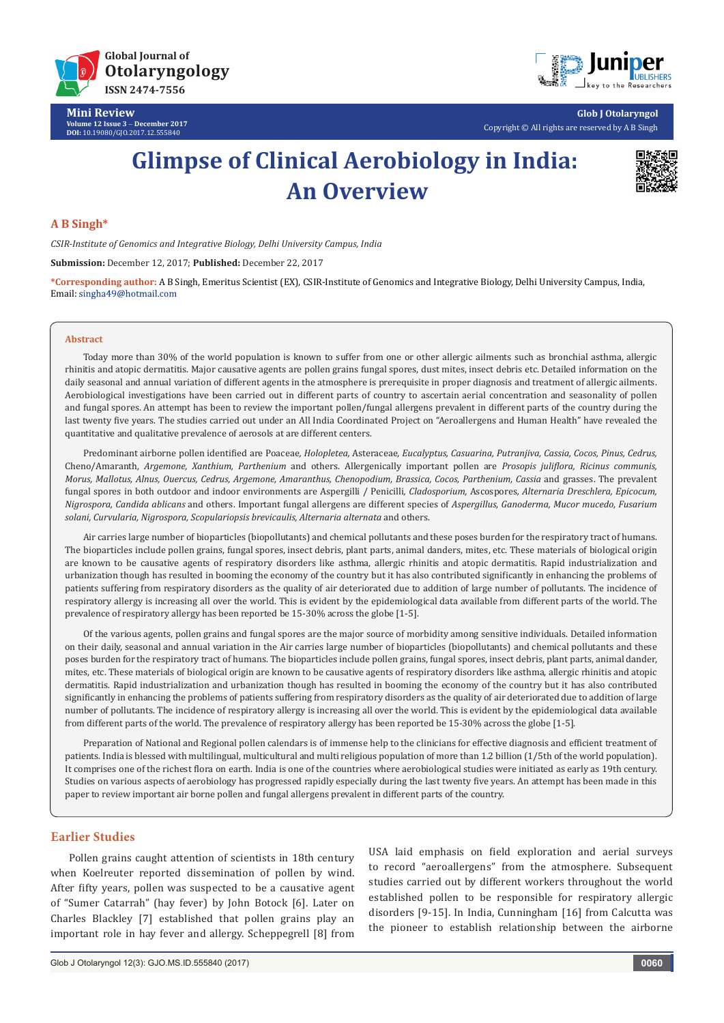

**DOI:** [10.19080/GJO.2017.12.555840](http://dx.doi.org/10.19080/GJO.2017.12.555840)

**Mini Review Volume 12 Issue 3** - **December 2017**



**Glob J Otolaryngol** Copyright © All rights are reserved by A B Singh

# **Glimpse of Clinical Aerobiology in India: An Overview**



## **A B Singh\***

*CSIR-Institute of Genomics and Integrative Biology, Delhi University Campus, India*

**Submission:** December 12, 2017; **Published:** December 22, 2017

**\*Corresponding author:** A B Singh, Emeritus Scientist (EX), CSIR-Institute of Genomics and Integrative Biology, Delhi University Campus, India, Email: singha49@hotmail.com

#### **Abstract**

Today more than 30% of the world population is known to suffer from one or other allergic ailments such as bronchial asthma, allergic rhinitis and atopic dermatitis. Major causative agents are pollen grains fungal spores, dust mites, insect debris etc. Detailed information on the daily seasonal and annual variation of different agents in the atmosphere is prerequisite in proper diagnosis and treatment of allergic ailments. Aerobiological investigations have been carried out in different parts of country to ascertain aerial concentration and seasonality of pollen and fungal spores. An attempt has been to review the important pollen/fungal allergens prevalent in different parts of the country during the last twenty five years. The studies carried out under an All India Coordinated Project on "Aeroallergens and Human Health" have revealed the quantitative and qualitative prevalence of aerosols at are different centers.

Predominant airborne pollen identified are Poaceae*, Holopletea,* Asteraceae*, Eucalyptus, Casuarina, Putranjiva, Cassia, Cocos, Pinus, Cedrus,*  Cheno/Amaranth*, Argemone, Xanthium, Parthenium* and others. Allergenically important pollen are *Prosopis juliflora, Ricinus communis, Morus, Mallotus, Alnus, Ouercus, Cedrus, Argemone, Amaranthus, Chenopodium, Brassica, Cocos, Parthenium, Cassia* and grasses. The prevalent fungal spores in both outdoor and indoor environments are Aspergilli / Penicilli*, Cladosporium,* Ascospores*, Alternaria Dreschlera, Epicocum, Nigrospora, Candida ablicans* and others. Important fungal allergens are different species of *Aspergillus, Ganoderma, Mucor mucedo, Fusarium solani, Curvularia, Nigrospora, Scopulariopsis brevicaulis, Alternaria alternata* and others.

Air carries large number of bioparticles (biopollutants) and chemical pollutants and these poses burden for the respiratory tract of humans. The bioparticles include pollen grains, fungal spores, insect debris, plant parts, animal danders, mites, etc. These materials of biological origin are known to be causative agents of respiratory disorders like asthma, allergic rhinitis and atopic dermatitis. Rapid industrialization and urbanization though has resulted in booming the economy of the country but it has also contributed significantly in enhancing the problems of patients suffering from respiratory disorders as the quality of air deteriorated due to addition of large number of pollutants. The incidence of respiratory allergy is increasing all over the world. This is evident by the epidemiological data available from different parts of the world. The prevalence of respiratory allergy has been reported be 15-30% across the globe [1-5].

Of the various agents, pollen grains and fungal spores are the major source of morbidity among sensitive individuals. Detailed information on their daily, seasonal and annual variation in the Air carries large number of bioparticles (biopollutants) and chemical pollutants and these poses burden for the respiratory tract of humans. The bioparticles include pollen grains, fungal spores, insect debris, plant parts, animal dander, mites, etc. These materials of biological origin are known to be causative agents of respiratory disorders like asthma, allergic rhinitis and atopic dermatitis. Rapid industrialization and urbanization though has resulted in booming the economy of the country but it has also contributed significantly in enhancing the problems of patients suffering from respiratory disorders as the quality of air deteriorated due to addition of large number of pollutants. The incidence of respiratory allergy is increasing all over the world. This is evident by the epidemiological data available from different parts of the world. The prevalence of respiratory allergy has been reported be 15-30% across the globe [1-5].

Preparation of National and Regional pollen calendars is of immense help to the clinicians for effective diagnosis and efficient treatment of patients. India is blessed with multilingual, multicultural and multi religious population of more than 1.2 billion (1/5th of the world population). It comprises one of the richest flora on earth. India is one of the countries where aerobiological studies were initiated as early as 19th century. Studies on various aspects of aerobiology has progressed rapidly especially during the last twenty five years. An attempt has been made in this paper to review important air borne pollen and fungal allergens prevalent in different parts of the country.

#### **Earlier Studies**

Pollen grains caught attention of scientists in 18th century when Koelreuter reported dissemination of pollen by wind. After fifty years, pollen was suspected to be a causative agent of "Sumer Catarrah" (hay fever) by John Botock [6]. Later on Charles Blackley [7] established that pollen grains play an important role in hay fever and allergy. Scheppegrell [8] from

USA laid emphasis on field exploration and aerial surveys to record "aeroallergens" from the atmosphere. Subsequent studies carried out by different workers throughout the world established pollen to be responsible for respiratory allergic disorders [9-15]. In India, Cunningham [16] from Calcutta was the pioneer to establish relationship between the airborne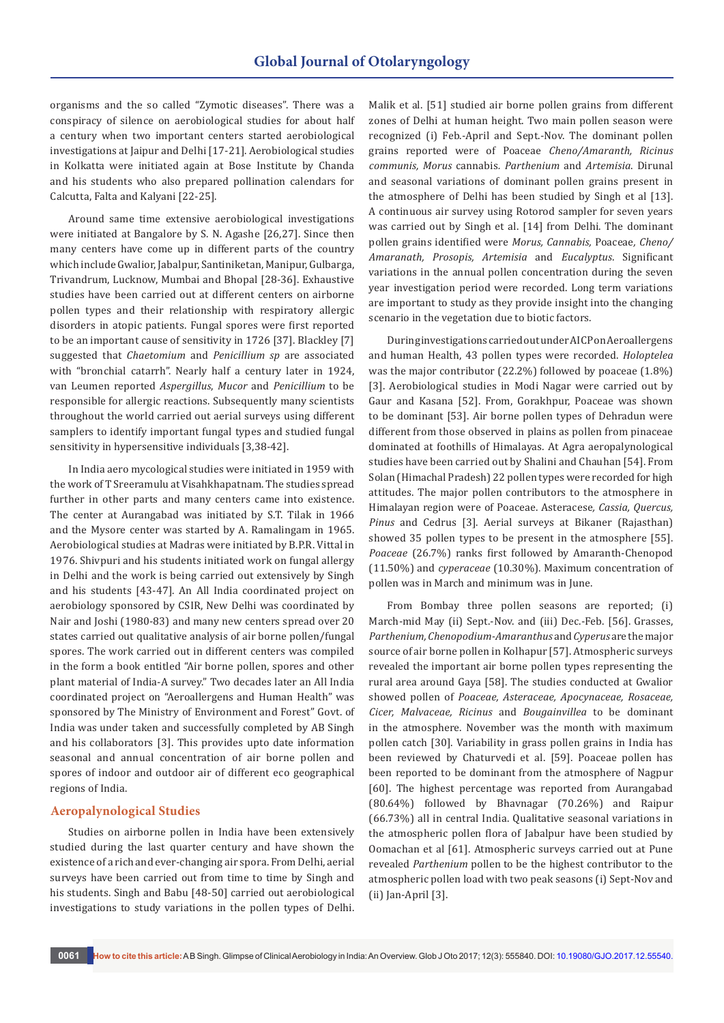organisms and the so called "Zymotic diseases". There was a conspiracy of silence on aerobiological studies for about half a century when two important centers started aerobiological investigations at Jaipur and Delhi [17-21]. Aerobiological studies in Kolkatta were initiated again at Bose Institute by Chanda and his students who also prepared pollination calendars for Calcutta, Falta and Kalyani [22-25].

Around same time extensive aerobiological investigations were initiated at Bangalore by S. N. Agashe [26,27]. Since then many centers have come up in different parts of the country which include Gwalior, Jabalpur, Santiniketan, Manipur, Gulbarga, Trivandrum, Lucknow, Mumbai and Bhopal [28-36]. Exhaustive studies have been carried out at different centers on airborne pollen types and their relationship with respiratory allergic disorders in atopic patients. Fungal spores were first reported to be an important cause of sensitivity in 1726 [37]. Blackley [7] suggested that *Chaetomium* and *Penicillium sp* are associated with "bronchial catarrh". Nearly half a century later in 1924, van Leumen reported *Aspergillus*, *Mucor* and *Penicillium* to be responsible for allergic reactions. Subsequently many scientists throughout the world carried out aerial surveys using different samplers to identify important fungal types and studied fungal sensitivity in hypersensitive individuals [3,38-42].

In India aero mycological studies were initiated in 1959 with the work of T Sreeramulu at Visahkhapatnam. The studies spread further in other parts and many centers came into existence. The center at Aurangabad was initiated by S.T. Tilak in 1966 and the Mysore center was started by A. Ramalingam in 1965. Aerobiological studies at Madras were initiated by B.P.R. Vittal in 1976. Shivpuri and his students initiated work on fungal allergy in Delhi and the work is being carried out extensively by Singh and his students [43-47]. An All India coordinated project on aerobiology sponsored by CSIR, New Delhi was coordinated by Nair and Joshi (1980-83) and many new centers spread over 20 states carried out qualitative analysis of air borne pollen/fungal spores. The work carried out in different centers was compiled in the form a book entitled "Air borne pollen, spores and other plant material of India-A survey." Two decades later an All India coordinated project on "Aeroallergens and Human Health" was sponsored by The Ministry of Environment and Forest" Govt. of India was under taken and successfully completed by AB Singh and his collaborators [3]. This provides upto date information seasonal and annual concentration of air borne pollen and spores of indoor and outdoor air of different eco geographical regions of India.

#### **Aeropalynological Studies**

Studies on airborne pollen in India have been extensively studied during the last quarter century and have shown the existence of a rich and ever-changing air spora. From Delhi, aerial surveys have been carried out from time to time by Singh and his students. Singh and Babu [48-50] carried out aerobiological investigations to study variations in the pollen types of Delhi.

Malik et al. [51] studied air borne pollen grains from different zones of Delhi at human height. Two main pollen season were recognized (i) Feb.-April and Sept.-Nov. The dominant pollen grains reported were of Poaceae *Cheno/Amaranth, Ricinus communis, Morus* cannabis*. Parthenium* and *Artemisia*. Dirunal and seasonal variations of dominant pollen grains present in the atmosphere of Delhi has been studied by Singh et al [13]. A continuous air survey using Rotorod sampler for seven years was carried out by Singh et al. [14] from Delhi. The dominant pollen grains identified were *Morus, Cannabis,* Poaceae*, Cheno/ Amaranath, Prosopis, Artemisia* and *Eucalyptus*. Significant variations in the annual pollen concentration during the seven year investigation period were recorded. Long term variations are important to study as they provide insight into the changing scenario in the vegetation due to biotic factors.

During investigations carried out under AICP on Aeroallergens and human Health, 43 pollen types were recorded. *Holoptelea*  was the major contributor (22.2%) followed by poaceae (1.8%) [3]. Aerobiological studies in Modi Nagar were carried out by Gaur and Kasana [52]. From, Gorakhpur, Poaceae was shown to be dominant [53]. Air borne pollen types of Dehradun were different from those observed in plains as pollen from pinaceae dominated at foothills of Himalayas. At Agra aeropalynological studies have been carried out by Shalini and Chauhan [54]. From Solan (Himachal Pradesh) 22 pollen types were recorded for high attitudes. The major pollen contributors to the atmosphere in Himalayan region were of Poaceae. Asteracese*, Cassia, Quercus, Pinus* and Cedrus [3]. Aerial surveys at Bikaner (Rajasthan) showed 35 pollen types to be present in the atmosphere [55]. *Poaceae* (26.7%) ranks first followed by Amaranth-Chenopod (11.50%) and *cyperaceae* (10.30%). Maximum concentration of pollen was in March and minimum was in June.

From Bombay three pollen seasons are reported; (i) March-mid May (ii) Sept.-Nov. and (iii) Dec.-Feb. [56]. Grasses, *Parthenium, Chenopodium-Amaranthus* and *Cyperus* are the major source of air borne pollen in Kolhapur [57]. Atmospheric surveys revealed the important air borne pollen types representing the rural area around Gaya [58]. The studies conducted at Gwalior showed pollen of *Poaceae, Asteraceae, Apocynaceae, Rosaceae, Cicer, Malvaceae, Ricinus* and *Bougainvillea* to be dominant in the atmosphere. November was the month with maximum pollen catch [30]. Variability in grass pollen grains in India has been reviewed by Chaturvedi et al. [59]. Poaceae pollen has been reported to be dominant from the atmosphere of Nagpur [60]. The highest percentage was reported from Aurangabad (80.64%) followed by Bhavnagar (70.26%) and Raipur (66.73%) all in central India. Qualitative seasonal variations in the atmospheric pollen flora of Jabalpur have been studied by Oomachan et al [61]. Atmospheric surveys carried out at Pune revealed *Parthenium* pollen to be the highest contributor to the atmospheric pollen load with two peak seasons (i) Sept-Nov and (ii) Jan-April [3].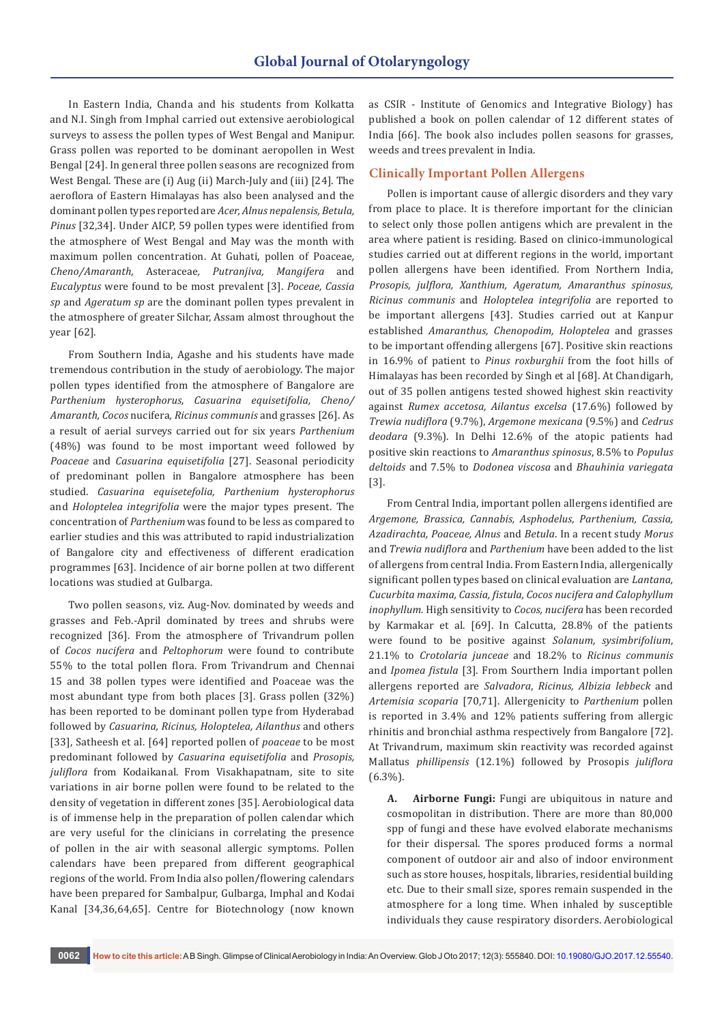In Eastern India, Chanda and his students from Kolkatta and N.I. Singh from Imphal carried out extensive aerobiological surveys to assess the pollen types of West Bengal and Manipur. Grass pollen was reported to be dominant aeropollen in West Bengal [24]. In general three pollen seasons are recognized from West Bengal. These are (i) Aug (ii) March-July and (iii) [24]. The aeroflora of Eastern Himalayas has also been analysed and the dominant pollen types reported are *Acer, Alnus nepalensis, Betula, Pinus* [32,34]. Under AICP, 59 pollen types were identified from the atmosphere of West Bengal and May was the month with maximum pollen concentration. At Guhati, pollen of Poaceae*, Cheno/Amaranth,* Asteraceae*, Putranjiva, Mangifera* and *Eucalyptus* were found to be most prevalent [3]. *Poceae, Cassia sp* and *Ageratum sp* are the dominant pollen types prevalent in the atmosphere of greater Silchar, Assam almost throughout the year [62].

From Southern India, Agashe and his students have made tremendous contribution in the study of aerobiology. The major pollen types identified from the atmosphere of Bangalore are *Parthenium hysterophorus, Casuarina equisetifolia, Cheno/ Amaranth, Cocos* nucifera*, Ricinus communis* and grasses [26]. As a result of aerial surveys carried out for six years *Parthenium* (48%) was found to be most important weed followed by *Poaceae* and *Casuarina equisetifolia* [27]. Seasonal periodicity of predominant pollen in Bangalore atmosphere has been studied. *Casuarina equisetefolia, Parthenium hysterophorus* and *Holoptelea integrifolia* were the major types present. The concentration of *Parthenium* was found to be less as compared to earlier studies and this was attributed to rapid industrialization of Bangalore city and effectiveness of different eradication programmes [63]. Incidence of air borne pollen at two different locations was studied at Gulbarga.

Two pollen seasons, viz. Aug-Nov. dominated by weeds and grasses and Feb.-April dominated by trees and shrubs were recognized [36]. From the atmosphere of Trivandrum pollen of *Cocos nucifera* and *Peltophorum* were found to contribute 55% to the total pollen flora. From Trivandrum and Chennai 15 and 38 pollen types were identified and Poaceae was the most abundant type from both places [3]. Grass pollen (32%) has been reported to be dominant pollen type from Hyderabad followed by *Casuarina, Ricinus, Holoptelea, Ailanthus* and others [33], Satheesh et al. [64] reported pollen of *poaceae* to be most predominant followed by *Casuarina equisetifolia* and *Prosopis, juliflora* from Kodaikanal. From Visakhapatnam, site to site variations in air borne pollen were found to be related to the density of vegetation in different zones [35]. Aerobiological data is of immense help in the preparation of pollen calendar which are very useful for the clinicians in correlating the presence of pollen in the air with seasonal allergic symptoms. Pollen calendars have been prepared from different geographical regions of the world. From India also pollen/flowering calendars have been prepared for Sambalpur, Gulbarga, Imphal and Kodai Kanal [34,36,64,65]. Centre for Biotechnology (now known

as CSIR - Institute of Genomics and Integrative Biology) has published a book on pollen calendar of 12 different states of India [66]. The book also includes pollen seasons for grasses, weeds and trees prevalent in India.

### **Clinically Important Pollen Allergens**

Pollen is important cause of allergic disorders and they vary from place to place. It is therefore important for the clinician to select only those pollen antigens which are prevalent in the area where patient is residing. Based on clinico-immunological studies carried out at different regions in the world, important pollen allergens have been identified. From Northern India, *Prosopis, julflora, Xanthium, Ageratum, Amaranthus spinosus, Ricinus communis* and *Holoptelea integrifolia* are reported to be important allergens [43]. Studies carried out at Kanpur established *Amaranthus, Chenopodim, Holoptelea* and grasses to be important offending allergens [67]. Positive skin reactions in 16.9% of patient to *Pinus roxburghii* from the foot hills of Himalayas has been recorded by Singh et al [68]. At Chandigarh, out of 35 pollen antigens tested showed highest skin reactivity against *Rumex accetosa, Ailantus excelsa* (17.6%) followed by *Trewia nudiflora* (9.7%), *Argemone mexicana* (9.5%) and *Cedrus deodara* (9.3%). In Delhi 12.6% of the atopic patients had positive skin reactions to *Amaranthus spinosus*, 8.5% to *Populus deltoids* and 7.5% to *Dodonea viscosa* and *Bhauhinia variegata*  [3].

From Central India, important pollen allergens identified are *Argemone, Brassica, Cannabis, Asphodelus, Parthenium, Cassia, Azadirachta, Poaceae, Alnus* and *Betula*. In a recent study *Morus* and *Trewia nudiflora* and *Parthenium* have been added to the list of allergens from central India. From Eastern India, allergenically significant pollen types based on clinical evaluation are *Lantana, Cucurbita maxima, Cassia, fistula, Cocos nucifera and Calophyllum inophyllum.* High sensitivity to *Cocos, nucifera* has been recorded by Karmakar et al. [69]. In Calcutta, 28.8% of the patients were found to be positive against *Solanum, sysimbrifolium*, 21.1% to *Crotolaria junceae* and 18.2% to *Ricinus communis* and *Ipomea fistula* [3]. From Sourthern India important pollen allergens reported are *Salvadora*, *Ricinus, Albizia lebbeck* and *Artemisia scoparia* [70,71]. Allergenicity to *Parthenium* pollen is reported in 3.4% and 12% patients suffering from allergic rhinitis and bronchial asthma respectively from Bangalore [72]. At Trivandrum, maximum skin reactivity was recorded against Mallatus *phillipensis* (12.1%) followed by Prosopis *juliflora* (6.3%).

**A. Airborne Fungi:** Fungi are ubiquitous in nature and cosmopolitan in distribution. There are more than 80,000 spp of fungi and these have evolved elaborate mechanisms for their dispersal. The spores produced forms a normal component of outdoor air and also of indoor environment such as store houses, hospitals, libraries, residential building etc. Due to their small size, spores remain suspended in the atmosphere for a long time. When inhaled by susceptible individuals they cause respiratory disorders. Aerobiological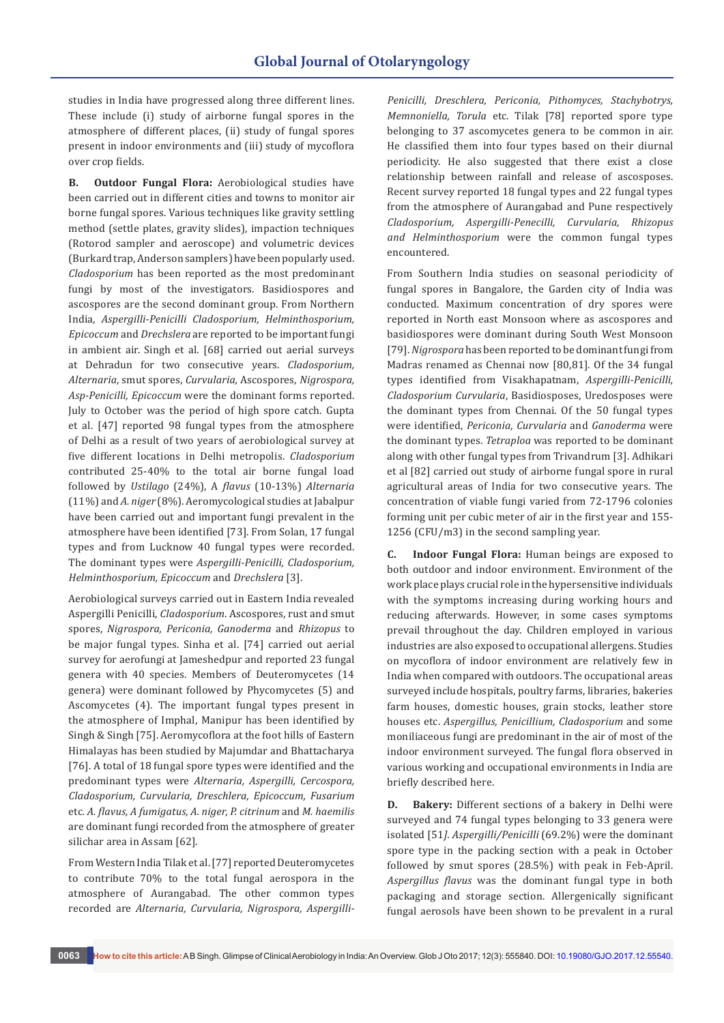studies in India have progressed along three different lines. These include (i) study of airborne fungal spores in the atmosphere of different places, (ii) study of fungal spores present in indoor environments and (iii) study of mycoflora over crop fields.

**B. Outdoor Fungal Flora:** Aerobiological studies have been carried out in different cities and towns to monitor air borne fungal spores. Various techniques like gravity settling method (settle plates, gravity slides), impaction techniques (Rotorod sampler and aeroscope) and volumetric devices (Burkard trap, Anderson samplers) have been popularly used. *Cladosporium* has been reported as the most predominant fungi by most of the investigators. Basidiospores and ascospores are the second dominant group. From Northern India, *Aspergilli-Penicilli Cladosporium, Helminthosporium, Epicoccum* and *Drechslera* are reported to be important fungi in ambient air. Singh et al. [68] carried out aerial surveys at Dehradun for two consecutive years. *Cladosporium, Alternaria*, smut spores, *Curvularia,* Ascospores*, Nigrospora, Asp-Penicilli, Epicoccum* were the dominant forms reported. July to October was the period of high spore catch. Gupta et al. [47] reported 98 fungal types from the atmosphere of Delhi as a result of two years of aerobiological survey at five different locations in Delhi metropolis. *Cladosporium*  contributed 25-40% to the total air borne fungal load followed by *Ustilago* (24%), A *flavus* (10-13%) *Alternaria*  (11%) and *A. niger* (8%). Aeromycological studies at Jabalpur have been carried out and important fungi prevalent in the atmosphere have been identified [73]. From Solan, 17 fungal types and from Lucknow 40 fungal types were recorded. The dominant types were *Aspergilli-Penicilli, Cladosporium, Helminthosporium, Epicoccum* and *Drechslera* [3].

Aerobiological surveys carried out in Eastern India revealed Aspergilli Penicilli, *Cladosporium*. Ascospores, rust and smut spores, *Nigrospora, Periconia, Ganoderma* and *Rhizopus* to be major fungal types. Sinha et al. [74] carried out aerial survey for aerofungi at Jameshedpur and reported 23 fungal genera with 40 species. Members of Deuteromycetes (14 genera) were dominant followed by Phycomycetes (5) and Ascomycetes (4). The important fungal types present in the atmosphere of Imphal, Manipur has been identified by Singh & Singh [75]. Aeromycoflora at the foot hills of Eastern Himalayas has been studied by Majumdar and Bhattacharya [76]. A total of 18 fungal spore types were identified and the predominant types were *Alternaria, Aspergilli, Cercospora, Cladosporium, Curvularia, Dreschlera, Epicoccum, Fusarium*  etc*. A. flavus, A fumigatus, A. niger, P. citrinum* and *M. haemilis* are dominant fungi recorded from the atmosphere of greater silichar area in Assam [62].

From Western India Tilak et al. [77] reported Deuteromycetes to contribute 70% to the total fungal aerospora in the atmosphere of Aurangabad. The other common types recorded are *Alternaria, Curvularia, Nigrospora, Aspergilli-* *Penicilli, Dreschlera, Periconia, Pithomyces, Stachybotrys, Memnoniella, Torula* etc. Tilak [78] reported spore type belonging to 37 ascomycetes genera to be common in air. He classified them into four types based on their diurnal periodicity. He also suggested that there exist a close relationship between rainfall and release of ascosposes. Recent survey reported 18 fungal types and 22 fungal types from the atmosphere of Aurangabad and Pune respectively *Cladosporium, Aspergilli-Penecilli, Curvularia, Rhizopus and Helminthosporium* were the common fungal types encountered.

From Southern India studies on seasonal periodicity of fungal spores in Bangalore, the Garden city of India was conducted. Maximum concentration of dry spores were reported in North east Monsoon where as ascospores and basidiospores were dominant during South West Monsoon [79]. *Nigrospora* has been reported to be dominant fungi from Madras renamed as Chennai now [80,81]. Of the 34 fungal types identified from Visakhapatnam, *Aspergilli-Penicilli, Cladosporium Curvularia*, Basidiosposes, Uredosposes were the dominant types from Chennai. Of the 50 fungal types were identified, *Periconia, Curvularia* and *Ganoderma* were the dominant types. *Tetraploa* was reported to be dominant along with other fungal types from Trivandrum [3]. Adhikari et al [82] carried out study of airborne fungal spore in rural agricultural areas of India for two consecutive years. The concentration of viable fungi varied from 72-1796 colonies forming unit per cubic meter of air in the first year and 155- 1256 (CFU/m3) in the second sampling year.

**C. Indoor Fungal Flora:** Human beings are exposed to both outdoor and indoor environment. Environment of the work place plays crucial role in the hypersensitive individuals with the symptoms increasing during working hours and reducing afterwards. However, in some cases symptoms prevail throughout the day. Children employed in various industries are also exposed to occupational allergens. Studies on mycoflora of indoor environment are relatively few in India when compared with outdoors. The occupational areas surveyed include hospitals, poultry farms, libraries, bakeries farm houses, domestic houses, grain stocks, leather store houses etc. *Aspergillus, Penicillium, Cladosporium* and some moniliaceous fungi are predominant in the air of most of the indoor environment surveyed. The fungal flora observed in various working and occupational environments in India are briefly described here.

**D. Bakery:** Different sections of a bakery in Delhi were surveyed and 74 fungal types belonging to 33 genera were isolated [51*]. Aspergilli/Penicilli* (69.2%) were the dominant spore type in the packing section with a peak in October followed by smut spores (28.5%) with peak in Feb-April. *Aspergillus flavus* was the dominant fungal type in both packaging and storage section. Allergenically significant fungal aerosols have been shown to be prevalent in a rural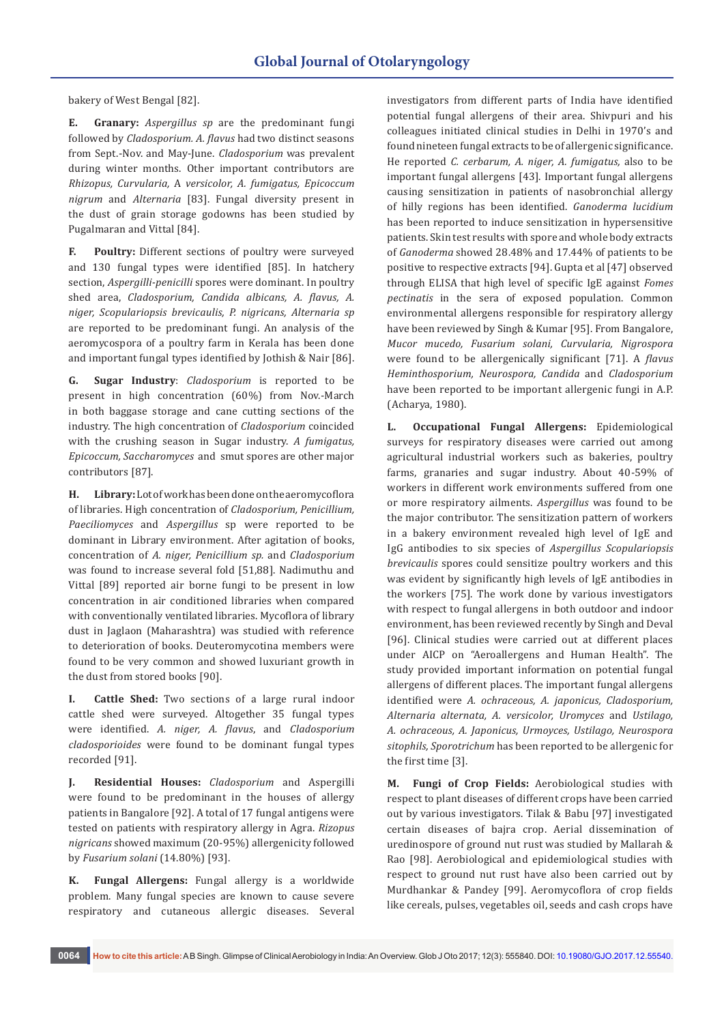bakery of West Bengal [82].

**E. Granary:** *Aspergillus sp* are the predominant fungi followed by *Cladosporium. A. flavus* had two distinct seasons from Sept.-Nov. and May-June. *Cladosporium* was prevalent during winter months. Other important contributors are *Rhizopus, Curvularia,* A *versicolor, A. fumigatus, Epicoccum nigrum* and *Alternaria* [83]. Fungal diversity present in the dust of grain storage godowns has been studied by Pugalmaran and Vittal [84].

**F. Poultry:** Different sections of poultry were surveyed and 130 fungal types were identified [85]. In hatchery section, *Aspergilli-penicilli* spores were dominant. In poultry shed area, *Cladosporium, Candida albicans, A. flavus, A. niger, Scopulariopsis brevicaulis, P. nigricans, Alternaria sp* are reported to be predominant fungi. An analysis of the aeromycospora of a poultry farm in Kerala has been done and important fungal types identified by Jothish & Nair [86].

**G. Sugar Industry**: *Cladosporium* is reported to be present in high concentration (60%) from Nov.-March in both baggase storage and cane cutting sections of the industry. The high concentration of *Cladosporium* coincided with the crushing season in Sugar industry. *A fumigatus, Epicoccum, Saccharomyces* and smut spores are other major contributors [87].

**H. Library:** Lot of work has been done on the aeromycoflora of libraries. High concentration of *Cladosporium, Penicillium, Paeciliomyces* and *Aspergillus* sp were reported to be dominant in Library environment. After agitation of books, concentration of *A. niger, Penicillium sp.* and *Cladosporium* was found to increase several fold [51,88]. Nadimuthu and Vittal [89] reported air borne fungi to be present in low concentration in air conditioned libraries when compared with conventionally ventilated libraries. Mycoflora of library dust in Jaglaon (Maharashtra) was studied with reference to deterioration of books. Deuteromycotina members were found to be very common and showed luxuriant growth in the dust from stored books [90].

**Cattle Shed:** Two sections of a large rural indoor cattle shed were surveyed. Altogether 35 fungal types were identified. *A. niger, A. flavus*, and *Cladosporium cladosporioides* were found to be dominant fungal types recorded [91].

**J. Residential Houses:** *Cladosporium* and Aspergilli were found to be predominant in the houses of allergy patients in Bangalore [92]. A total of 17 fungal antigens were tested on patients with respiratory allergy in Agra. *Rizopus nigricans* showed maximum (20-95%) allergenicity followed by *Fusarium solani* (14.80%) [93].

**K. Fungal Allergens:** Fungal allergy is a worldwide problem. Many fungal species are known to cause severe respiratory and cutaneous allergic diseases. Several

investigators from different parts of India have identified potential fungal allergens of their area. Shivpuri and his colleagues initiated clinical studies in Delhi in 1970's and found nineteen fungal extracts to be of allergenic significance. He reported *C. cerbarum, A. niger, A. fumigatus,* also to be important fungal allergens [43]. Important fungal allergens causing sensitization in patients of nasobronchial allergy of hilly regions has been identified. *Ganoderma lucidium*  has been reported to induce sensitization in hypersensitive patients. Skin test results with spore and whole body extracts of *Ganoderma* showed 28.48% and 17.44% of patients to be positive to respective extracts [94]. Gupta et al [47] observed through ELISA that high level of specific IgE against *Fomes pectinatis* in the sera of exposed population. Common environmental allergens responsible for respiratory allergy have been reviewed by Singh & Kumar [95]. From Bangalore, *Mucor mucedo, Fusarium solani, Curvularia, Nigrospora* were found to be allergenically significant [71]. A *flavus Heminthosporium, Neurospora, Candida* and *Cladosporium*  have been reported to be important allergenic fungi in A.P. (Acharya, 1980).

**L. Occupational Fungal Allergens:** Epidemiological surveys for respiratory diseases were carried out among agricultural industrial workers such as bakeries, poultry farms, granaries and sugar industry. About 40-59% of workers in different work environments suffered from one or more respiratory ailments. *Aspergillus* was found to be the major contributor. The sensitization pattern of workers in a bakery environment revealed high level of IgE and IgG antibodies to six species of *Aspergillus Scopulariopsis brevicaulis* spores could sensitize poultry workers and this was evident by significantly high levels of IgE antibodies in the workers [75]. The work done by various investigators with respect to fungal allergens in both outdoor and indoor environment, has been reviewed recently by Singh and Deval [96]. Clinical studies were carried out at different places under AICP on "Aeroallergens and Human Health". The study provided important information on potential fungal allergens of different places. The important fungal allergens identified were *A. ochraceous, A. japonicus, Cladosporium, Alternaria alternata, A. versicolor, Uromyces* and *Ustilago, A. ochraceous, A. Japonicus, Urmoyces, Ustilago, Neurospora sitophils, Sporotrichum* has been reported to be allergenic for the first time [3].

**M. Fungi of Crop Fields:** Aerobiological studies with respect to plant diseases of different crops have been carried out by various investigators. Tilak & Babu [97] investigated certain diseases of bajra crop. Aerial dissemination of uredinospore of ground nut rust was studied by Mallarah & Rao [98]. Aerobiological and epidemiological studies with respect to ground nut rust have also been carried out by Murdhankar & Pandey [99]. Aeromycoflora of crop fields like cereals, pulses, vegetables oil, seeds and cash crops have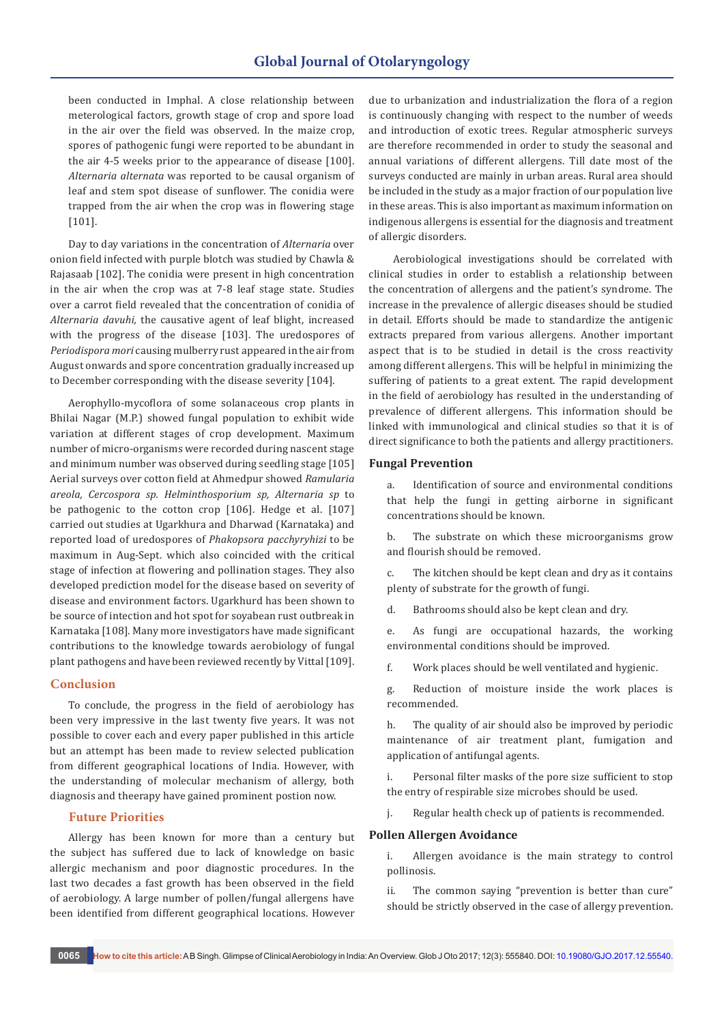been conducted in Imphal. A close relationship between meterological factors, growth stage of crop and spore load in the air over the field was observed. In the maize crop, spores of pathogenic fungi were reported to be abundant in the air 4-5 weeks prior to the appearance of disease [100]. *Alternaria alternata* was reported to be causal organism of leaf and stem spot disease of sunflower. The conidia were trapped from the air when the crop was in flowering stage [101].

Day to day variations in the concentration of *Alternaria* over onion field infected with purple blotch was studied by Chawla & Rajasaab [102]. The conidia were present in high concentration in the air when the crop was at 7-8 leaf stage state. Studies over a carrot field revealed that the concentration of conidia of *Alternaria davuhi,* the causative agent of leaf blight, increased with the progress of the disease [103]. The uredospores of *Periodispora mori* causing mulberry rust appeared in the air from August onwards and spore concentration gradually increased up to December corresponding with the disease severity [104].

Aerophyllo-mycoflora of some solanaceous crop plants in Bhilai Nagar (M.P.) showed fungal population to exhibit wide variation at different stages of crop development. Maximum number of micro-organisms were recorded during nascent stage and minimum number was observed during seedling stage [105] Aerial surveys over cotton field at Ahmedpur showed *Ramularia areola, Cercospora sp. Helminthosporium sp, Alternaria sp* to be pathogenic to the cotton crop [106]. Hedge et al. [107] carried out studies at Ugarkhura and Dharwad (Karnataka) and reported load of uredospores of *Phakopsora pacchyryhizi* to be maximum in Aug-Sept. which also coincided with the critical stage of infection at flowering and pollination stages. They also developed prediction model for the disease based on severity of disease and environment factors. Ugarkhurd has been shown to be source of intection and hot spot for soyabean rust outbreak in Karnataka [108]. Many more investigators have made significant contributions to the knowledge towards aerobiology of fungal plant pathogens and have been reviewed recently by Vittal [109].

#### **Conclusion**

To conclude, the progress in the field of aerobiology has been very impressive in the last twenty five years. It was not possible to cover each and every paper published in this article but an attempt has been made to review selected publication from different geographical locations of India. However, with the understanding of molecular mechanism of allergy, both diagnosis and theerapy have gained prominent postion now.

### **Future Priorities**

Allergy has been known for more than a century but the subject has suffered due to lack of knowledge on basic allergic mechanism and poor diagnostic procedures. In the last two decades a fast growth has been observed in the field of aerobiology. A large number of pollen/fungal allergens have been identified from different geographical locations. However due to urbanization and industrialization the flora of a region is continuously changing with respect to the number of weeds and introduction of exotic trees. Regular atmospheric surveys are therefore recommended in order to study the seasonal and annual variations of different allergens. Till date most of the surveys conducted are mainly in urban areas. Rural area should be included in the study as a major fraction of our population live in these areas. This is also important as maximum information on indigenous allergens is essential for the diagnosis and treatment of allergic disorders.

 Aerobiological investigations should be correlated with clinical studies in order to establish a relationship between the concentration of allergens and the patient's syndrome. The increase in the prevalence of allergic diseases should be studied in detail. Efforts should be made to standardize the antigenic extracts prepared from various allergens. Another important aspect that is to be studied in detail is the cross reactivity among different allergens. This will be helpful in minimizing the suffering of patients to a great extent. The rapid development in the field of aerobiology has resulted in the understanding of prevalence of different allergens. This information should be linked with immunological and clinical studies so that it is of direct significance to both the patients and allergy practitioners.

#### **Fungal Prevention**

a. Identification of source and environmental conditions that help the fungi in getting airborne in significant concentrations should be known.

b. The substrate on which these microorganisms grow and flourish should be removed.

c. The kitchen should be kept clean and dry as it contains plenty of substrate for the growth of fungi.

d. Bathrooms should also be kept clean and dry.

e. As fungi are occupational hazards, the working environmental conditions should be improved.

f. Work places should be well ventilated and hygienic.

g. Reduction of moisture inside the work places is recommended.

h. The quality of air should also be improved by periodic maintenance of air treatment plant, fumigation and application of antifungal agents.

i. Personal filter masks of the pore size sufficient to stop the entry of respirable size microbes should be used.

j. Regular health check up of patients is recommended.

#### **Pollen Allergen Avoidance**

i. Allergen avoidance is the main strategy to control pollinosis.

ii. The common saying "prevention is better than cure" should be strictly observed in the case of allergy prevention.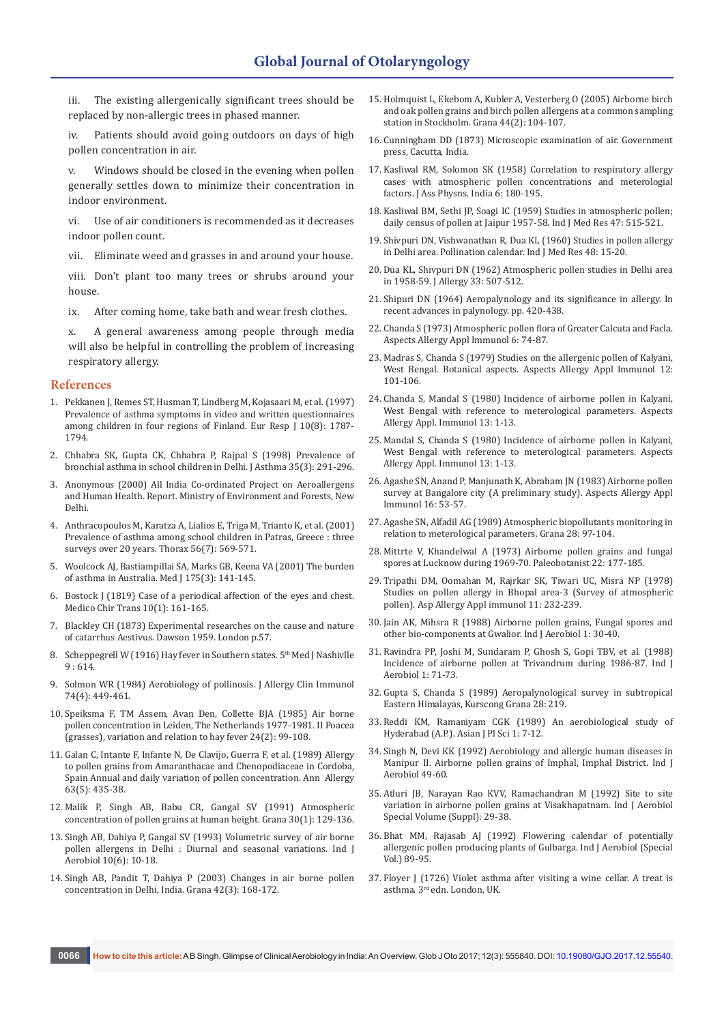iii. The existing allergenically significant trees should be replaced by non-allergic trees in phased manner.

iv. Patients should avoid going outdoors on days of high pollen concentration in air.

v. Windows should be closed in the evening when pollen generally settles down to minimize their concentration in indoor environment.

vi. Use of air conditioners is recommended as it decreases indoor pollen count.

vii. Eliminate weed and grasses in and around your house.

viii. Don't plant too many trees or shrubs around your house.

ix. After coming home, take bath and wear fresh clothes.

x. A general awareness among people through media will also be helpful in controlling the problem of increasing respiratory allergy.

#### **References**

- 1. [Pekkanen J, Remes ST, Husman T, Lindberg M, Kojasaari M, et al. \(1997\)](https://www.ncbi.nlm.nih.gov/pubmed/9272920)  [Prevalence of asthma symptoms in video and written questionnaires](https://www.ncbi.nlm.nih.gov/pubmed/9272920)  [among children in four regions of Finland. Eur Resp J 10\(8\): 1787-](https://www.ncbi.nlm.nih.gov/pubmed/9272920) [1794.](https://www.ncbi.nlm.nih.gov/pubmed/9272920)
- 2. [Chhabra SK, Gupta CK, Chhabra P, Rajpal S \(1998\) Prevalence of](https://www.ncbi.nlm.nih.gov/pubmed/9661682)  [bronchial asthma in school children in Delhi. J Asthma 35\(3\): 291-296.](https://www.ncbi.nlm.nih.gov/pubmed/9661682)
- 3. Anonymous (2000) All India Co-ordinated Project on Aeroallergens and Human Health. Report. Ministry of Environment and Forests, New Delhi.
- 4. [Anthracopoulos M, Karatza A, Lialios E, Triga M, Trianto K, et al. \(2001\)](https://www.ncbi.nlm.nih.gov/pubmed/11413358)  [Prevalence of asthma among school children in Patras, Greece : three](https://www.ncbi.nlm.nih.gov/pubmed/11413358)  [surveys over 20 years. Thorax 56\(7\): 569-571.](https://www.ncbi.nlm.nih.gov/pubmed/11413358)
- 5. [Woolcock AJ, Bastiampillai SA, Marks GB, Keena VA \(2001\) The burden](https://www.ncbi.nlm.nih.gov/pubmed/11548080)  [of asthma in Australia. Med J 175\(3\): 141-145.](https://www.ncbi.nlm.nih.gov/pubmed/11548080)
- 6. [Bostock J \(1819\) Case of a periodical affection of the eyes and chest.](https://www.ncbi.nlm.nih.gov/pmc/articles/PMC2116437/)  [Medico Chir Trans 10\(1\): 161-165.](https://www.ncbi.nlm.nih.gov/pmc/articles/PMC2116437/)
- 7. [Blackley CH \(1873\) Experimental researches on the cause and nature](https://www.cabdirect.org/cabdirect/abstract/19601301376)  [of catarrhus Aestivus. Dawson 1959. London p.57.](https://www.cabdirect.org/cabdirect/abstract/19601301376)
- 8. Scheppegrell W (1916) Hay fever in Southern states. 5<sup>th</sup> Med J Nashivlle  $9:614.$
- 9. [Solmon WR \(1984\) Aerobiology of pollinosis. J Allergy Clin Immunol](http://www.jacionline.org/article/0091-6749(84)90376-2/fulltext)  [74\(4\): 449-461.](http://www.jacionline.org/article/0091-6749(84)90376-2/fulltext)
- 10. [Speiksma F, TM Assem, Avan Den, Collette BJA \(1985\) Air borne](http://www.tandfonline.com/doi/abs/10.1080/00173138509429920)  [pollen concentration in Leiden, The Netherlands 1977-1981. II Poacea](http://www.tandfonline.com/doi/abs/10.1080/00173138509429920)  [\(grasses\), variation and relation to hay fever 24\(2\): 99-108.](http://www.tandfonline.com/doi/abs/10.1080/00173138509429920)
- 11. [Galan C, Intante F, Infante N, De Clavijo, Guerra F, et al. \(1989\) Allergy](file:///D:/krishna%20web/krishna/22-12-2017/GJO.MS.ID.555840/GJO-MRW-17-844_W/Allergy%20to%20pollen%20grains%20from%20Amaranthacae%20and%20Chenopodiaceae%20in%20Cordoba,%20Spain%20Annual%20and%20daily%20variation%20of%20pollen%20concentration.)  [to pollen grains from Amaranthacae and Chenopodiaceae in Cordoba,](file:///D:/krishna%20web/krishna/22-12-2017/GJO.MS.ID.555840/GJO-MRW-17-844_W/Allergy%20to%20pollen%20grains%20from%20Amaranthacae%20and%20Chenopodiaceae%20in%20Cordoba,%20Spain%20Annual%20and%20daily%20variation%20of%20pollen%20concentration.)  [Spain Annual and daily variation of pollen concentration. Ann Allergy](file:///D:/krishna%20web/krishna/22-12-2017/GJO.MS.ID.555840/GJO-MRW-17-844_W/Allergy%20to%20pollen%20grains%20from%20Amaranthacae%20and%20Chenopodiaceae%20in%20Cordoba,%20Spain%20Annual%20and%20daily%20variation%20of%20pollen%20concentration.)  [63\(5\): 435-38.](file:///D:/krishna%20web/krishna/22-12-2017/GJO.MS.ID.555840/GJO-MRW-17-844_W/Allergy%20to%20pollen%20grains%20from%20Amaranthacae%20and%20Chenopodiaceae%20in%20Cordoba,%20Spain%20Annual%20and%20daily%20variation%20of%20pollen%20concentration.)
- 12. [Malik P, Singh AB, Babu CR, Gangal SV \(1991\) Atmospheric](http://www.tandfonline.com/doi/pdf/10.1080/00173139109427786)  [concentration of pollen grains at human height. Grana 30\(1\): 129-136.](http://www.tandfonline.com/doi/pdf/10.1080/00173139109427786)
- 13. Singh AB, Dahiya P, Gangal SV (1993) Volumetric survey of air borne pollen allergens in Delhi : Diurnal and seasonal variations. Ind J Aerobiol 10(6): 10-18.
- 14. [Singh AB, Pandit T, Dahiya P \(2003\) Changes in air borne pollen](http://www.tandfonline.com/doi/full/10.1080/00173130310016149)  [concentration in Delhi, India. Grana 42\(3\): 168-172.](http://www.tandfonline.com/doi/full/10.1080/00173130310016149)
- 15. [Holmquist L, Ekebom A, Kubler A, Vesterberg O \(2005\) Airborne birch](http://www.tandfonline.com/doi/abs/10.1080/00173130510031636)  [and oak pollen grains and birch pollen allergens at a common sampling](http://www.tandfonline.com/doi/abs/10.1080/00173130510031636)  [station in Stockholm. Grana 44\(2\): 104-107.](http://www.tandfonline.com/doi/abs/10.1080/00173130510031636)
- 16. [Cunningham DD \(1873\) Microscopic examination of air. Government](http://www.aspergillus.org.uk/content/spore-catches-cunningham-dd-microscopic-examination-air-1873)  [press, Cacutta, India.](http://www.aspergillus.org.uk/content/spore-catches-cunningham-dd-microscopic-examination-air-1873)
- 17. Kasliwal RM, Solomon SK (1958) Correlation to respiratory allergy cases with atmospheric pollen concentrations and meterologial factors. J Ass Physns. India 6: 180-195.
- 18. [Kasliwal BM, Sethi JP, Soagi IC \(1959\) Studies in atmospheric pollen;](https://www.ncbi.nlm.nih.gov/pubmed/14404658)  [daily census of pollen at Jaipur 1957-58. Ind J Med Res 47: 515-521.](https://www.ncbi.nlm.nih.gov/pubmed/14404658)
- 19. [Shivpuri DN, Vishwanathan R, Dua KL \(1960\) Studies in pollen allergy](https://www.ncbi.nlm.nih.gov/pubmed/14446076)  [in Delhi area. Pollination calendar. Ind J Med Res 48: 15-20.](https://www.ncbi.nlm.nih.gov/pubmed/14446076)
- 20. Dua KL, Shivpuri DN (1962) Atmospheric pollen studies in Delhi area in 1958-59. J Allergy 33: 507-512.
- 21. Shipuri DN (1964) Aeropalynology and its significance in allergy. In recent advances in palynology. pp. 420-438.
- 22. Chanda S (1973) Atmospheric pollen flora of Greater Calcuta and Facla. Aspects Allergy Appl Immunol 6: 74-87.
- 23. Madras S, Chanda S (1979) Studies on the allergenic pollen of Kalyani, West Bengal. Botanical aspects. Aspects Allergy Appl Immunol 12: 101-106.
- 24. Chanda S, Mandal S (1980) Incidence of airborne pollen in Kalyani, West Bengal with reference to meterological parameters. Aspects Allergy Appl. Immunol 13: 1-13.
- 25. Mandal S, Chanda S (1980) Incidence of airborne pollen in Kalyani, West Bengal with reference to meterological parameters. Aspects Allergy Appl. Immunol 13: 1-13.
- 26. Agashe SN, Anand P, Manjunath K, Abraham JN (1983) Airborne pollen survey at Bangalore city (A preliminary study). Aspects Allergy Appl Immunol 16: 53-57.
- 27. Agashe SN, Alfadil AG (1989) Atmospheric biopollutants monitoring in relation to meterological parameters. Grana 28: 97-104.
- 28. Mittrte V, Khandelwal A (1973) Airborne pollen grains and fungal spores at Lucknow during 1969-70. Paleobotanist 22: 177-185.
- 29. Tripathi DM, Oomahan M, Rajrkar SK, Tiwari UC, Misra NP (1978) Studies on pollen allergy in Bhopal area-3 (Survey of atmospheric pollen). Asp Allergy Appl immunol 11: 232-239.
- 30. Jain AK, Mihsra R (1988) Airborne pollen grains, Fungal spores and other bio-components at Gwalior. Ind J Aerobiol 1: 30-40.
- 31. Ravindra PP, Joshi M, Sundaram P, Ghosh S, Gopi TBV, et al. (1988) Incidence of airborne pollen at Trivandrum during 1986-87. Ind J Aerobiol 1: 71-73.
- 32. Gupta S, Chanda S (1989) Aeropalynological survey in subtropical Eastern Himalayas, Kurscong Grana 28: 219.
- 33. Reddi KM, Ramaniyam CGK (1989) An aerobiological study of Hyderabad (A.P.). Asian J Pl Sci 1: 7-12.
- 34. Singh N, Devi KK (1992) Aerobiology and allergic human diseases in Manipur II. Airborne pollen grains of Imphal, Imphal District. Ind J Aerobiol 49-60.
- 35. Atluri JB, Narayan Rao KVV, Ramachandran M (1992) Site to site variation in airborne pollen grains at Visakhapatnam. Ind J Aerobiol Special Volume (Suppl): 29-38.
- 36. Bhat MM, Rajasab AJ (1992) Flowering calendar of potentially allergenic pollen producing plants of Gulbarga. Ind J Aerobiol (Special Vol.) 89-95.
- 37. Floyer J (1726) Violet asthma after visiting a wine cellar. A treat is asthma. 3rd edn. London, UK.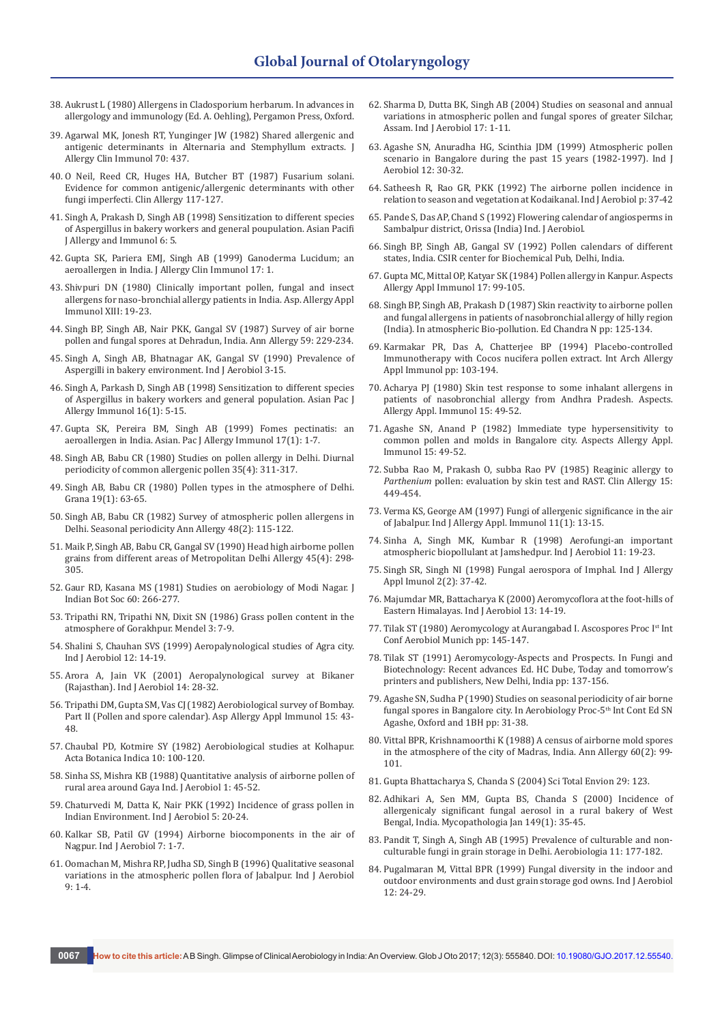- 38. Aukrust L (1980) Allergens in Cladosporium herbarum. In advances in allergology and immunology (Ed. A. Oehling), Pergamon Press, Oxford.
- 39. Agarwal MK, Jonesh RT, Yunginger JW (1982) Shared allergenic and antigenic determinants in Alternaria and Stemphyllum extracts. J Allergy Clin Immunol 70: 437.
- 40. O Neil, Reed CR, Huges HA, Butcher BT (1987) Fusarium solani. Evidence for common antigenic/allergenic determinants with other fungi imperfecti. Clin Allergy 117-127.
- 41. Singh A, Prakash D, Singh AB (1998) Sensitization to different species of Aspergillus in bakery workers and general poupulation. Asian Pacifi J Allergy and Immunol 6: 5.
- 42. Gupta SK, Pariera EMJ, Singh AB (1999) Ganoderma Lucidum; an aeroallergen in India. J Allergy Clin Immunol 17: 1.
- 43. Shivpuri DN (1980) Clinically important pollen, fungal and insect allergens for naso-bronchial allergy patients in India. Asp. Allergy Appl Immunol XIII: 19-23.
- 44. Singh BP, Singh AB, Nair PKK, Gangal SV (1987) Survey of air borne pollen and fungal spores at Dehradun, India. Ann Allergy 59: 229-234.
- 45. Singh A, Singh AB, Bhatnagar AK, Gangal SV (1990) Prevalence of Aspergilli in bakery environment. Ind J Aerobiol 3-15.
- 46. [Singh A, Parkash D, Singh AB \(1998\) Sensitization to different species](https://www.ncbi.nlm.nih.gov/pubmed/9681123)  [of Aspergillus in bakery workers and general population. Asian Pac J](https://www.ncbi.nlm.nih.gov/pubmed/9681123)  [Allergy Immunol 16\(1\): 5-15.](https://www.ncbi.nlm.nih.gov/pubmed/9681123)
- 47. [Gupta SK, Pereira BM, Singh AB \(1999\) Fomes pectinatis: an](https://www.ncbi.nlm.nih.gov/pubmed/10403002)  [aeroallergen in India. Asian. Pac J Allergy Immunol 17\(1\): 1-7.](https://www.ncbi.nlm.nih.gov/pubmed/10403002)
- 48. [Singh AB, Babu CR \(1980\) Studies on pollen allergy in Delhi. Diurnal](http://onlinelibrary.wiley.com/doi/10.1111/j.1398-9995.1980.tb01772.x/abstract)  [periodicity of common allergenic pollen 35\(4\): 311-317.](http://onlinelibrary.wiley.com/doi/10.1111/j.1398-9995.1980.tb01772.x/abstract)
- 49. [Singh AB, Babu CR \(1980\) Pollen types in the atmosphere of Delhi.](http://www.tandfonline.com/doi/pdf/10.1080/00173138009424989)  [Grana 19\(1\): 63-65.](http://www.tandfonline.com/doi/pdf/10.1080/00173138009424989)
- 50. [Singh AB, Babu CR \(1982\) Survey of atmospheric pollen allergens in](https://www.ncbi.nlm.nih.gov/pubmed/7065467)  [Delhi. Seasonal periodicity Ann Allergy 48\(2\): 115-122.](https://www.ncbi.nlm.nih.gov/pubmed/7065467)
- 51. [Maik P, Singh AB, Babu CR, Gangal SV \(1990\) Head high airborne pollen](https://www.ncbi.nlm.nih.gov/pubmed/2382795)  [grains from different areas of Metropolitan Delhi Allergy 45\(4\): 298-](https://www.ncbi.nlm.nih.gov/pubmed/2382795) [305.](https://www.ncbi.nlm.nih.gov/pubmed/2382795)
- 52. Gaur RD, Kasana MS (1981) Studies on aerobiology of Modi Nagar. J Indian Bot Soc 60: 266-277.
- 53. Tripathi RN, Tripathi NN, Dixit SN (1986) Grass pollen content in the atmosphere of Gorakhpur. Mendel 3: 7-9.
- 54. Shalini S, Chauhan SVS (1999) Aeropalynological studies of Agra city. Ind J Aerobiol 12: 14-19.
- 55. Arora A, Jain VK (2001) Aeropalynological survey at Bikaner (Rajasthan). Ind J Aerobiol 14: 28-32.
- 56. Tripathi DM, Gupta SM, Vas CJ (1982) Aerobiological survey of Bombay. Part II (Pollen and spore calendar). Asp Allergy Appl Immunol 15: 43- 48.
- 57. Chaubal PD, Kotmire SY (1982) Aerobiological studies at Kolhapur. Acta Botanica Indica 10: 100-120.
- 58. Sinha SS, Mishra KB (1988) Quantitative analysis of airborne pollen of rural area around Gaya Ind. J Aerobiol 1: 45-52.
- 59. Chaturvedi M, Datta K, Nair PKK (1992) Incidence of grass pollen in Indian Environment. Ind J Aerobiol 5: 20-24.
- 60. Kalkar SB, Patil GV (1994) Airborne biocomponents in the air of Nagpur. Ind J Aerobiol 7: 1-7.
- 61. Oomachan M, Mishra RP, Judha SD, Singh B (1996) Qualitative seasonal variations in the atmospheric pollen flora of Jabalpur. Ind J Aerobiol  $9: 1-4.$
- 62. Sharma D, Dutta BK, Singh AB (2004) Studies on seasonal and annual variations in atmospheric pollen and fungal spores of greater Silchar, Assam. Ind J Aerobiol 17: 1-11.
- 63. Agashe SN, Anuradha HG, Scinthia JDM (1999) Atmospheric pollen scenario in Bangalore during the past 15 years (1982-1997). Ind J Aerobiol 12: 30-32.
- 64. Satheesh R, Rao GR, PKK (1992) The airborne pollen incidence in relation to season and vegetation at Kodaikanal. Ind J Aerobiol p: 37-42
- 65. Pande S, Das AP, Chand S (1992) Flowering calendar of angiosperms in Sambalpur district, Orissa (India) Ind. J Aerobiol.
- 66. [Singh BP, Singh AB, Gangal SV \(1992\) Pollen calendars of different](http://agris.fao.org/agris-search/search.do?request_locale=es&recordID=US201300034600&sourceQuery=&query=&sortField=&sortOrder=&agrovocString=&advQuery=¢erString=&enableField=)  [states, India. CSIR center for Biochemical Pub, Delhi, India.](http://agris.fao.org/agris-search/search.do?request_locale=es&recordID=US201300034600&sourceQuery=&query=&sortField=&sortOrder=&agrovocString=&advQuery=¢erString=&enableField=)
- 67. Gupta MC, Mittal OP, Katyar SK (1984) Pollen allergy in Kanpur. Aspects Allergy Appl Immunol 17: 99-105.
- 68. Singh BP, Singh AB, Prakash D (1987) Skin reactivity to airborne pollen and fungal allergens in patients of nasobronchial allergy of hilly region (India). In atmospheric Bio-pollution. Ed Chandra N pp: 125-134.
- 69. Karmakar PR, Das A, Chatterjee BP (1994) Placebo-controlled Immunotherapy with Cocos nucifera pollen extract. Int Arch Allergy Appl Immunol pp: 103-194.
- 70. Acharya PJ (1980) Skin test response to some inhalant allergens in patients of nasobronchial allergy from Andhra Pradesh. Aspects. Allergy Appl. Immunol 15: 49-52.
- 71. Agashe SN, Anand P (1982) Immediate type hypersensitivity to common pollen and molds in Bangalore city. Aspects Allergy Appl. Immunol 15: 49-52.
- 72. Subba Rao M, Prakash O, subba Rao PV (1985) Reaginic allergy to *Parthenium* pollen: evaluation by skin test and RAST. Clin Allergy 15: 449-454.
- 73. [Verma KS, George AM \(1997\) Fungi of allergenic significance in the air](http://medind.nic.in/imvw/imvw8797.html)  [of Jabalpur. Ind J Allergy Appl. Immunol 11\(1\): 13-15.](http://medind.nic.in/imvw/imvw8797.html)
- 74. Sinha A, Singh MK, Kumbar R (1998) Aerofungi-an important atmospheric biopollulant at Jamshedpur. Ind J Aerobiol 11: 19-23.
- 75. Singh SR, Singh NI (1998) Fungal aerospora of Imphal. Ind J Allergy Appl Imunol 2(2): 37-42.
- 76. Majumdar MR, Battacharya K (2000) Aeromycoflora at the foot-hills of Eastern Himalayas. Ind J Aerobiol 13: 14-19.
- 77. Tilak ST (1980) Aeromycology at Aurangabad I. Ascospores Proc Ist Int Conf Aerobiol Munich pp: 145-147.
- 78. Tilak ST (1991) Aeromycology-Aspects and Prospects. In Fungi and Biotechnology: Recent advances Ed. HC Dube, Today and tomorrow's printers and publishers, New Delhi, India pp: 137-156.
- 79. Agashe SN, Sudha P (1990) Studies on seasonal periodicity of air borne fungal spores in Bangalore city. In Aerobiology Proc-5<sup>th</sup> Int Cont Ed SN Agashe, Oxford and 1BH pp: 31-38.
- 80. [Vittal BPR, Krishnamoorthi K \(1988\) A census of airborne mold spores](https://www.ncbi.nlm.nih.gov/pubmed/3341618)  [in the atmosphere of the city of Madras, India. Ann Allergy 60\(2\): 99-](https://www.ncbi.nlm.nih.gov/pubmed/3341618) [101.](https://www.ncbi.nlm.nih.gov/pubmed/3341618)
- 81. Gupta Bhattacharya S, Chanda S (2004) Sci Total Envion 29: 123.
- 82. [Adhikari A, Sen MM, Gupta BS, Chanda S \(2000\) Incidence of](https://link.springer.com/article/10.1023/A%3A1007171420410)  [allergenicaly significant fungal aerosol in a rural bakery of West](https://link.springer.com/article/10.1023/A%3A1007171420410)  [Bengal, India. Mycopathologia Jan 149\(1\): 35-45.](https://link.springer.com/article/10.1023/A%3A1007171420410)
- 83. [Pandit T, Singh A, Singh AB \(1995\) Prevalence of culturable and non](https://link.springer.com/article/10.1007/BF02450036)[culturable fungi in grain storage in Delhi. Aerobiologia 11: 177-182.](https://link.springer.com/article/10.1007/BF02450036)
- 84. Pugalmaran M, Vittal BPR (1999) Fungal diversity in the indoor and outdoor environments and dust grain storage god owns. Ind J Aerobiol 12: 24-29.